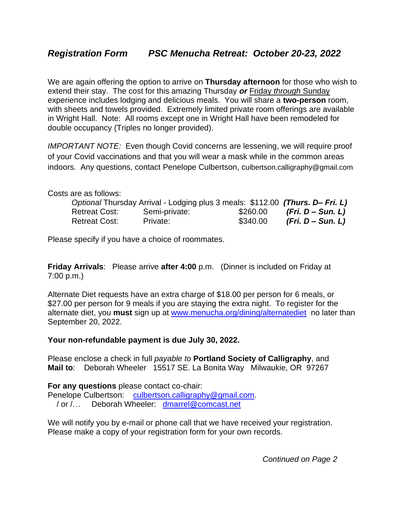We are again offering the option to arrive on **Thursday afternoon** for those who wish to extend their stay. The cost for this amazing Thursday *or* Friday *through* Sunday experience includes lodging and delicious meals. You will share a **two-person** room, with sheets and towels provided. Extremely limited private room offerings are available in Wright Hall. Note: All rooms except one in Wright Hall have been remodeled for double occupancy (Triples no longer provided).

*IMPORTANT NOTE:* Even though Covid concerns are lessening, we will require proof of your Covid vaccinations and that you will wear a mask while in the common areas indoors. Any questions, contact Penelope Culbertson, culbertson.calligraphy@gmail.com

Costs are as follows:

|               | Optional Thursday Arrival - Lodging plus 3 meals: \$112.00 (Thurs. D– Fri. L) |          |                   |
|---------------|-------------------------------------------------------------------------------|----------|-------------------|
| Retreat Cost: | Semi-private:                                                                 | \$260.00 | (Fri. D – Sun. L) |
| Retreat Cost: | Private:                                                                      | \$340.00 | (Fri. D – Sun. L) |

Please specify if you have a choice of roommates.

**Friday Arrivals**: Please arrive **after 4:00** p.m.(Dinner is included on Friday at 7:00 p.m.)

Alternate Diet requests have an extra charge of \$18.00 per person for 6 meals, or \$27.00 per person for 9 meals if you are staying the extra night. To register for the alternate diet, you **must** sign up at [www.menucha.org/dining/alternatediet](http://www.menucha.org/dining/alternatediet) no later than September 20, 2022.

**Your non-refundable payment is due July 30, 2022.** 

Please enclose a check in full *payable to* **Portland Society of Calligraphy**, and **Mail to**: Deborah Wheeler 15517 SE. La Bonita Way Milwaukie, OR 97267

**For any questions** please contact co-chair: Penelope Culbertson: [culbertson.calligraphy@gmail.com.](mailto:culbertson.calligraphy@gmail.com)

/ or /… Deborah Wheeler: [dmarrel@comcast.net](mailto:dmarrel@comcast.net) 

We will notify you by e-mail or phone call that we have received your registration. Please make a copy of your registration form for your own records.

*Continued on Page 2*